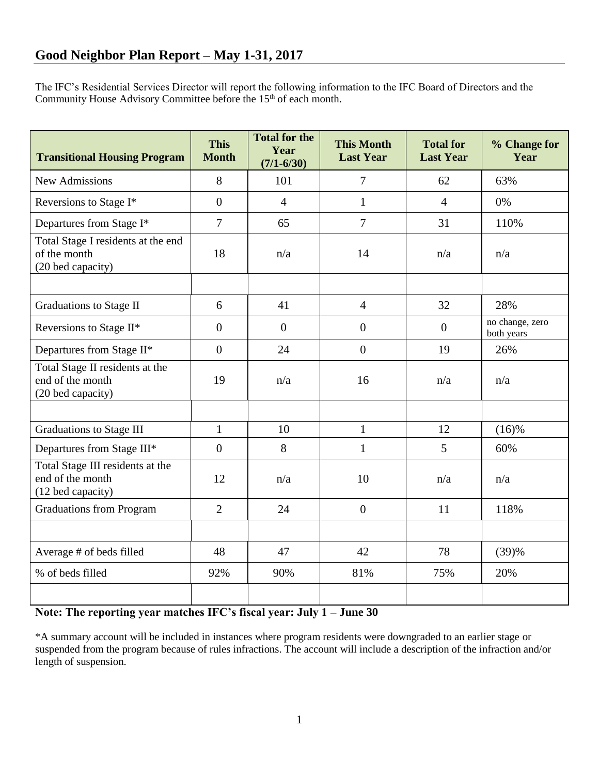The IFC's Residential Services Director will report the following information to the IFC Board of Directors and the Community House Advisory Committee before the 15<sup>th</sup> of each month.

| <b>Transitional Housing Program</b>                                       | <b>This</b><br><b>Month</b> | <b>Total for the</b><br>Year<br>$(7/1 - 6/30)$ | <b>This Month</b><br><b>Last Year</b> | <b>Total for</b><br><b>Last Year</b> | % Change for<br>Year          |
|---------------------------------------------------------------------------|-----------------------------|------------------------------------------------|---------------------------------------|--------------------------------------|-------------------------------|
| <b>New Admissions</b>                                                     | 8                           | 101                                            | $\overline{7}$                        | 62                                   | 63%                           |
| Reversions to Stage I*                                                    | $\overline{0}$              | $\overline{4}$                                 | $\mathbf{1}$                          | $\overline{4}$                       | 0%                            |
| Departures from Stage I*                                                  | $\overline{7}$              | 65                                             | $\overline{7}$                        | 31                                   | 110%                          |
| Total Stage I residents at the end<br>of the month<br>(20 bed capacity)   | 18                          | n/a                                            | 14                                    | n/a                                  | n/a                           |
|                                                                           |                             |                                                |                                       |                                      |                               |
| <b>Graduations to Stage II</b>                                            | 6                           | 41                                             | $\overline{4}$                        | 32                                   | 28%                           |
| Reversions to Stage II*                                                   | $\overline{0}$              | $\overline{0}$                                 | $\overline{0}$                        | $\overline{0}$                       | no change, zero<br>both years |
| Departures from Stage II*                                                 | $\overline{0}$              | 24                                             | $\overline{0}$                        | 19                                   | 26%                           |
| Total Stage II residents at the<br>end of the month<br>(20 bed capacity)  | 19                          | n/a                                            | 16                                    | n/a                                  | n/a                           |
|                                                                           |                             |                                                |                                       |                                      |                               |
| Graduations to Stage III                                                  | $\mathbf{1}$                | 10                                             | $\mathbf{1}$                          | 12                                   | $(16)$ %                      |
| Departures from Stage III*                                                | $\overline{0}$              | 8                                              | $\mathbf{1}$                          | 5                                    | 60%                           |
| Total Stage III residents at the<br>end of the month<br>(12 bed capacity) | 12                          | n/a                                            | 10                                    | n/a                                  | n/a                           |
| <b>Graduations from Program</b>                                           | $\overline{2}$              | 24                                             | $\boldsymbol{0}$                      | 11                                   | 118%                          |
|                                                                           |                             |                                                |                                       |                                      |                               |
| Average # of beds filled                                                  | 48                          | 47                                             | 42                                    | 78                                   | (39)%                         |
| % of beds filled                                                          | 92%                         | 90%                                            | 81%                                   | 75%                                  | 20%                           |
|                                                                           |                             |                                                |                                       |                                      |                               |

## **Note: The reporting year matches IFC's fiscal year: July 1 – June 30**

\*A summary account will be included in instances where program residents were downgraded to an earlier stage or suspended from the program because of rules infractions. The account will include a description of the infraction and/or length of suspension.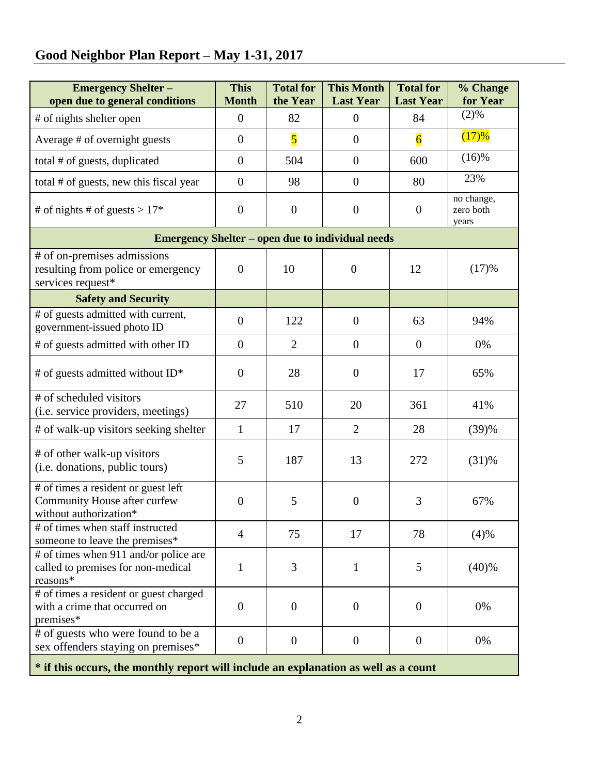## **Good Neighbor Plan Report – May 1-31, 2017**

| <b>Emergency Shelter-</b><br>open due to general conditions                                   | <b>This</b><br><b>Month</b> | <b>Total for</b><br>the Year | <b>This Month</b><br><b>Last Year</b> | <b>Total for</b><br><b>Last Year</b> | % Change<br>for Year             |  |  |  |
|-----------------------------------------------------------------------------------------------|-----------------------------|------------------------------|---------------------------------------|--------------------------------------|----------------------------------|--|--|--|
| # of nights shelter open                                                                      | $\overline{0}$              | 82                           | $\overline{0}$                        | 84                                   | (2)%                             |  |  |  |
| Average # of overnight guests                                                                 | $\overline{0}$              | $\overline{\mathbf{5}}$      | $\overline{0}$                        | $\overline{6}$                       | (17)%                            |  |  |  |
| total # of guests, duplicated                                                                 | $\overline{0}$              | 504                          | $\boldsymbol{0}$                      | 600                                  | $(16)$ %                         |  |  |  |
| total # of guests, new this fiscal year                                                       | $\overline{0}$              | 98                           | $\boldsymbol{0}$                      | 80                                   | 23%                              |  |  |  |
| # of nights # of guests > $17*$                                                               | $\overline{0}$              | $\overline{0}$               | $\overline{0}$                        | $\overline{0}$                       | no change,<br>zero both<br>years |  |  |  |
| <b>Emergency Shelter – open due to individual needs</b>                                       |                             |                              |                                       |                                      |                                  |  |  |  |
| # of on-premises admissions<br>resulting from police or emergency<br>services request*        | $\overline{0}$              | 10                           | $\overline{0}$                        | 12                                   | (17)%                            |  |  |  |
| <b>Safety and Security</b>                                                                    |                             |                              |                                       |                                      |                                  |  |  |  |
| # of guests admitted with current,<br>government-issued photo ID                              | $\overline{0}$              | 122                          | $\boldsymbol{0}$                      | 63                                   | 94%                              |  |  |  |
| # of guests admitted with other ID                                                            | $\overline{0}$              | $\overline{2}$               | $\boldsymbol{0}$                      | $\overline{0}$                       | 0%                               |  |  |  |
| # of guests admitted without ID*                                                              | $\overline{0}$              | 28                           | $\overline{0}$                        | 17                                   | 65%                              |  |  |  |
| # of scheduled visitors<br>(i.e. service providers, meetings)                                 | 27                          | 510                          | 20                                    | 361                                  | 41%                              |  |  |  |
| # of walk-up visitors seeking shelter                                                         | $\mathbf{1}$                | 17                           | $\overline{2}$                        | 28                                   | (39)%                            |  |  |  |
| # of other walk-up visitors<br>(i.e. donations, public tours)                                 | 5                           | 187                          | 13                                    | 272                                  | $(31)$ %                         |  |  |  |
| # of times a resident or guest left<br>Community House after curfew<br>without authorization* | $\overline{0}$              | 5                            | $\overline{0}$                        | 3                                    | 67%                              |  |  |  |
| # of times when staff instructed<br>someone to leave the premises*                            | 4                           | 75                           | 17                                    | 78                                   | (4)%                             |  |  |  |
| # of times when 911 and/or police are<br>called to premises for non-medical<br>reasons*       | 1                           | 3                            | 1                                     | 5                                    | (40)%                            |  |  |  |
| # of times a resident or guest charged<br>with a crime that occurred on<br>premises*          | $\overline{0}$              | $\overline{0}$               | $\theta$                              | $\theta$                             | 0%                               |  |  |  |
| # of guests who were found to be a<br>sex offenders staying on premises*                      | $\overline{0}$              | $\overline{0}$               | $\boldsymbol{0}$                      | $\overline{0}$                       | 0%                               |  |  |  |
| * if this occurs, the monthly report will include an explanation as well as a count           |                             |                              |                                       |                                      |                                  |  |  |  |